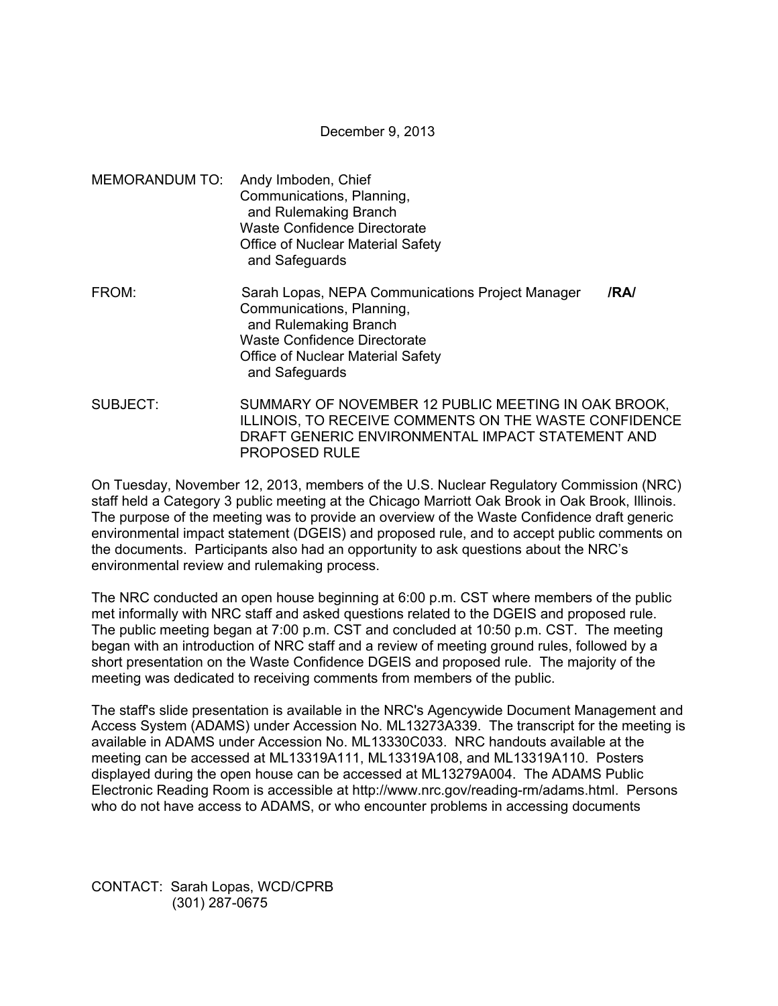December 9, 2013

MEMORANDUM TO: Andy Imboden, Chief Communications, Planning, and Rulemaking Branch Waste Confidence Directorate Office of Nuclear Material Safety and Safeguards FROM: Sarah Lopas, NEPA Communications Project Manager **/RA/**  Communications, Planning, and Rulemaking Branch Waste Confidence Directorate Office of Nuclear Material Safety

and Safeguards

SUBJECT: SUMMARY OF NOVEMBER 12 PUBLIC MEETING IN OAK BROOK, ILLINOIS, TO RECEIVE COMMENTS ON THE WASTE CONFIDENCE DRAFT GENERIC ENVIRONMENTAL IMPACT STATEMENT AND PROPOSED RULE

On Tuesday, November 12, 2013, members of the U.S. Nuclear Regulatory Commission (NRC) staff held a Category 3 public meeting at the Chicago Marriott Oak Brook in Oak Brook, Illinois. The purpose of the meeting was to provide an overview of the Waste Confidence draft generic environmental impact statement (DGEIS) and proposed rule, and to accept public comments on the documents. Participants also had an opportunity to ask questions about the NRC's environmental review and rulemaking process.

The NRC conducted an open house beginning at 6:00 p.m. CST where members of the public met informally with NRC staff and asked questions related to the DGEIS and proposed rule. The public meeting began at 7:00 p.m. CST and concluded at 10:50 p.m. CST. The meeting began with an introduction of NRC staff and a review of meeting ground rules, followed by a short presentation on the Waste Confidence DGEIS and proposed rule. The majority of the meeting was dedicated to receiving comments from members of the public.

The staff's slide presentation is available in the NRC's Agencywide Document Management and Access System (ADAMS) under Accession No. ML13273A339. The transcript for the meeting is available in ADAMS under Accession No. ML13330C033. NRC handouts available at the meeting can be accessed at ML13319A111, ML13319A108, and ML13319A110. Posters displayed during the open house can be accessed at ML13279A004. The ADAMS Public Electronic Reading Room is accessible at http://www.nrc.gov/reading-rm/adams.html. Persons who do not have access to ADAMS, or who encounter problems in accessing documents

CONTACT: Sarah Lopas, WCD/CPRB (301) 287-0675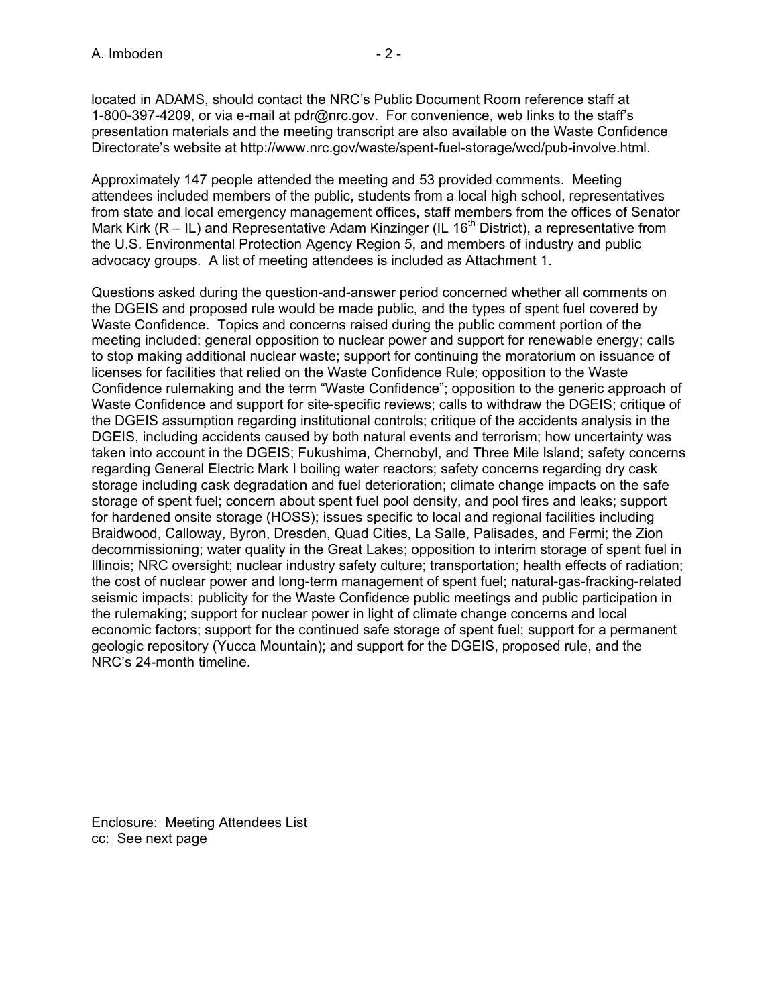located in ADAMS, should contact the NRC's Public Document Room reference staff at 1-800-397-4209, or via e-mail at pdr@nrc.gov. For convenience, web links to the staff's presentation materials and the meeting transcript are also available on the Waste Confidence Directorate's website at http://www.nrc.gov/waste/spent-fuel-storage/wcd/pub-involve.html.

Approximately 147 people attended the meeting and 53 provided comments. Meeting attendees included members of the public, students from a local high school, representatives from state and local emergency management offices, staff members from the offices of Senator Mark Kirk ( $R - IL$ ) and Representative Adam Kinzinger (IL 16<sup>th</sup> District), a representative from the U.S. Environmental Protection Agency Region 5, and members of industry and public advocacy groups. A list of meeting attendees is included as Attachment 1.

Questions asked during the question-and-answer period concerned whether all comments on the DGEIS and proposed rule would be made public, and the types of spent fuel covered by Waste Confidence. Topics and concerns raised during the public comment portion of the meeting included: general opposition to nuclear power and support for renewable energy; calls to stop making additional nuclear waste; support for continuing the moratorium on issuance of licenses for facilities that relied on the Waste Confidence Rule; opposition to the Waste Confidence rulemaking and the term "Waste Confidence"; opposition to the generic approach of Waste Confidence and support for site-specific reviews; calls to withdraw the DGEIS; critique of the DGEIS assumption regarding institutional controls; critique of the accidents analysis in the DGEIS, including accidents caused by both natural events and terrorism; how uncertainty was taken into account in the DGEIS; Fukushima, Chernobyl, and Three Mile Island; safety concerns regarding General Electric Mark I boiling water reactors; safety concerns regarding dry cask storage including cask degradation and fuel deterioration; climate change impacts on the safe storage of spent fuel; concern about spent fuel pool density, and pool fires and leaks; support for hardened onsite storage (HOSS); issues specific to local and regional facilities including Braidwood, Calloway, Byron, Dresden, Quad Cities, La Salle, Palisades, and Fermi; the Zion decommissioning; water quality in the Great Lakes; opposition to interim storage of spent fuel in Illinois; NRC oversight; nuclear industry safety culture; transportation; health effects of radiation; the cost of nuclear power and long-term management of spent fuel; natural-gas-fracking-related seismic impacts; publicity for the Waste Confidence public meetings and public participation in the rulemaking; support for nuclear power in light of climate change concerns and local economic factors; support for the continued safe storage of spent fuel; support for a permanent geologic repository (Yucca Mountain); and support for the DGEIS, proposed rule, and the NRC's 24-month timeline.

Enclosure: Meeting Attendees List cc: See next page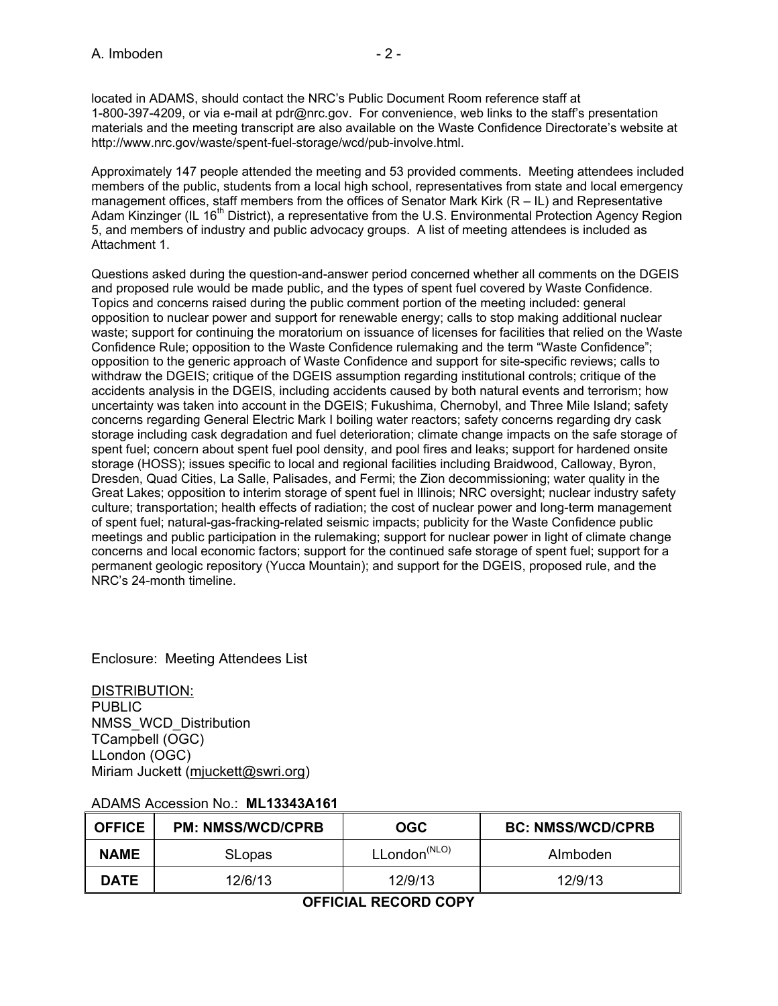Approximately 147 people attended the meeting and 53 provided comments. Meeting attendees included members of the public, students from a local high school, representatives from state and local emergency management offices, staff members from the offices of Senator Mark Kirk (R – IL) and Representative Adam Kinzinger (IL 16<sup>th</sup> District), a representative from the U.S. Environmental Protection Agency Region 5, and members of industry and public advocacy groups. A list of meeting attendees is included as Attachment 1.

Questions asked during the question-and-answer period concerned whether all comments on the DGEIS and proposed rule would be made public, and the types of spent fuel covered by Waste Confidence. Topics and concerns raised during the public comment portion of the meeting included: general opposition to nuclear power and support for renewable energy; calls to stop making additional nuclear waste; support for continuing the moratorium on issuance of licenses for facilities that relied on the Waste Confidence Rule; opposition to the Waste Confidence rulemaking and the term "Waste Confidence"; opposition to the generic approach of Waste Confidence and support for site-specific reviews; calls to withdraw the DGEIS; critique of the DGEIS assumption regarding institutional controls; critique of the accidents analysis in the DGEIS, including accidents caused by both natural events and terrorism; how uncertainty was taken into account in the DGEIS; Fukushima, Chernobyl, and Three Mile Island; safety concerns regarding General Electric Mark I boiling water reactors; safety concerns regarding dry cask storage including cask degradation and fuel deterioration; climate change impacts on the safe storage of spent fuel; concern about spent fuel pool density, and pool fires and leaks; support for hardened onsite storage (HOSS); issues specific to local and regional facilities including Braidwood, Calloway, Byron, Dresden, Quad Cities, La Salle, Palisades, and Fermi; the Zion decommissioning; water quality in the Great Lakes; opposition to interim storage of spent fuel in Illinois; NRC oversight; nuclear industry safety culture; transportation; health effects of radiation; the cost of nuclear power and long-term management of spent fuel; natural-gas-fracking-related seismic impacts; publicity for the Waste Confidence public meetings and public participation in the rulemaking; support for nuclear power in light of climate change concerns and local economic factors; support for the continued safe storage of spent fuel; support for a permanent geologic repository (Yucca Mountain); and support for the DGEIS, proposed rule, and the NRC's 24-month timeline.

Enclosure: Meeting Attendees List

DISTRIBUTION: **PUBLIC** NMSS\_WCD\_Distribution TCampbell (OGC) LLondon (OGC) Miriam Juckett (mjuckett@swri.org)

| <b>OFFICE</b> | <b>PM: NMSS/WCD/CPRB</b> | OGC                      | <b>BC: NMSS/WCD/CPRB</b> |
|---------------|--------------------------|--------------------------|--------------------------|
| <b>NAME</b>   | <b>SLopas</b>            | LLondon <sup>(NLO)</sup> | Almboden                 |
| <b>DATE</b>   | 12/6/13                  | 12/9/13                  | 12/9/13                  |

## ADAMS Accession No.: **ML13343A161**

**OFFICIAL RECORD COPY**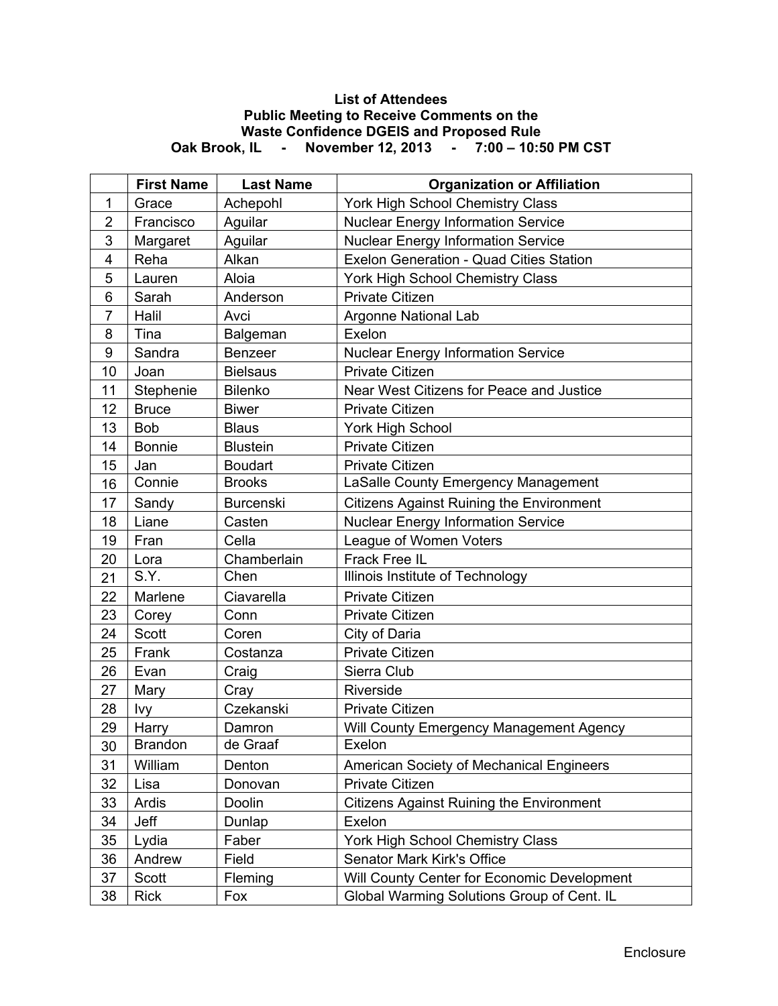## **List of Attendees Public Meeting to Receive Comments on the Waste Confidence DGEIS and Proposed Rule Oak Brook, IL - November 12, 2013 - 7:00 – 10:50 PM CST**

|                | <b>First Name</b> | <b>Last Name</b> | <b>Organization or Affiliation</b>              |
|----------------|-------------------|------------------|-------------------------------------------------|
| $\mathbf{1}$   | Grace             | Achepohl         | York High School Chemistry Class                |
| $\overline{2}$ | Francisco         | Aguilar          | <b>Nuclear Energy Information Service</b>       |
| 3              | Margaret          | Aguilar          | <b>Nuclear Energy Information Service</b>       |
| 4              | Reha              | Alkan            | Exelon Generation - Quad Cities Station         |
| 5              | Lauren            | Aloia            | York High School Chemistry Class                |
| 6              | Sarah             | Anderson         | <b>Private Citizen</b>                          |
| $\overline{7}$ | Halil             | Avci             | Argonne National Lab                            |
| 8              | Tina              | Balgeman         | Exelon                                          |
| 9              | Sandra            | Benzeer          | <b>Nuclear Energy Information Service</b>       |
| 10             | Joan              | <b>Bielsaus</b>  | <b>Private Citizen</b>                          |
| 11             | Stephenie         | Bilenko          | Near West Citizens for Peace and Justice        |
| 12             | <b>Bruce</b>      | <b>Biwer</b>     | Private Citizen                                 |
| 13             | <b>Bob</b>        | <b>Blaus</b>     | York High School                                |
| 14             | <b>Bonnie</b>     | <b>Blustein</b>  | <b>Private Citizen</b>                          |
| 15             | Jan               | <b>Boudart</b>   | <b>Private Citizen</b>                          |
| 16             | Connie            | <b>Brooks</b>    | LaSalle County Emergency Management             |
| 17             | Sandy             | <b>Burcenski</b> | <b>Citizens Against Ruining the Environment</b> |
| 18             | Liane             | Casten           | <b>Nuclear Energy Information Service</b>       |
| 19             | Fran              | Cella            | League of Women Voters                          |
| 20             | Lora              | Chamberlain      | Frack Free IL                                   |
| 21             | S.Y.              | Chen             | Illinois Institute of Technology                |
| 22             | Marlene           | Ciavarella       | <b>Private Citizen</b>                          |
| 23             | Corey             | Conn             | <b>Private Citizen</b>                          |
| 24             | Scott             | Coren            | City of Daria                                   |
| 25             | Frank             | Costanza         | <b>Private Citizen</b>                          |
| 26             | Evan              | Craig            | Sierra Club                                     |
| 27             | Mary              | Cray             | Riverside                                       |
| 28             | Ivy               | Czekanski        | <b>Private Citizen</b>                          |
| 29             | Harry             | Damron           | Will County Emergency Management Agency         |
| 30             | <b>Brandon</b>    | de Graaf         | Exelon                                          |
| 31             | William           | Denton           | American Society of Mechanical Engineers        |
| 32             | Lisa              | Donovan          | <b>Private Citizen</b>                          |
| 33             | Ardis             | Doolin           | <b>Citizens Against Ruining the Environment</b> |
| 34             | Jeff              | Dunlap           | Exelon                                          |
| 35             | Lydia             | Faber            | York High School Chemistry Class                |
| 36             | Andrew            | Field            | Senator Mark Kirk's Office                      |
| 37             | Scott             | Fleming          | Will County Center for Economic Development     |
| 38             | <b>Rick</b>       | Fox              | Global Warming Solutions Group of Cent. IL      |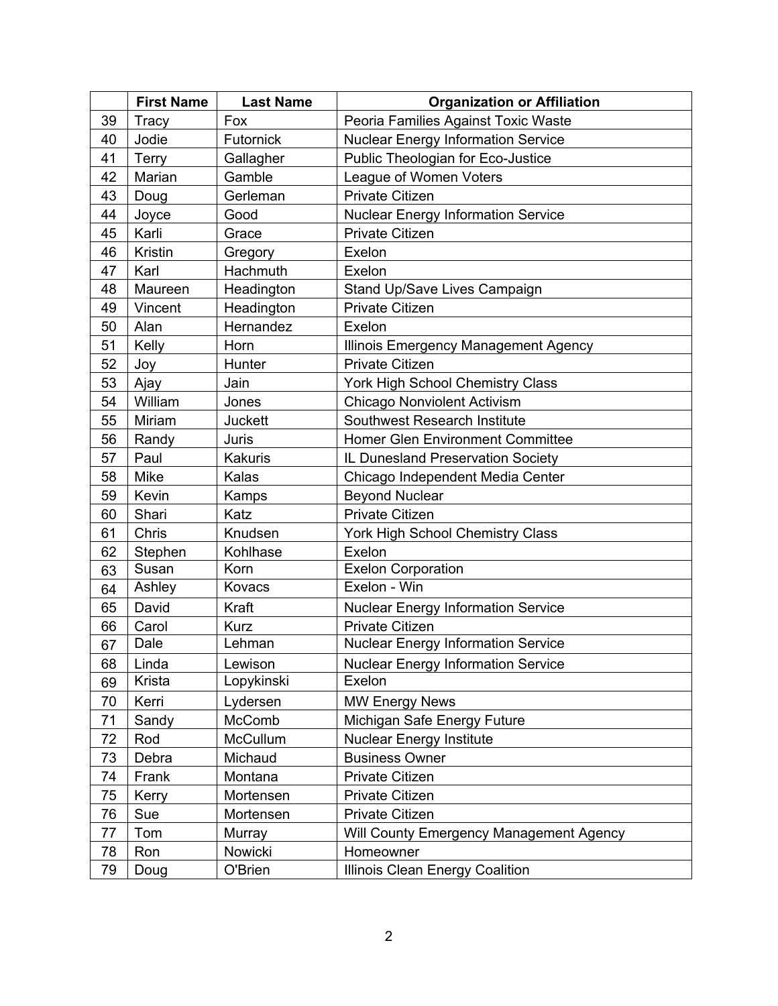|    | <b>First Name</b> | <b>Last Name</b> | <b>Organization or Affiliation</b>        |
|----|-------------------|------------------|-------------------------------------------|
| 39 | Tracy             | Fox              | Peoria Families Against Toxic Waste       |
| 40 | Jodie             | Futornick        | <b>Nuclear Energy Information Service</b> |
| 41 | <b>Terry</b>      | Gallagher        | Public Theologian for Eco-Justice         |
| 42 | Marian            | Gamble           | League of Women Voters                    |
| 43 | Doug              | Gerleman         | Private Citizen                           |
| 44 | Joyce             | Good             | <b>Nuclear Energy Information Service</b> |
| 45 | Karli             | Grace            | <b>Private Citizen</b>                    |
| 46 | Kristin           | Gregory          | Exelon                                    |
| 47 | Karl              | Hachmuth         | Exelon                                    |
| 48 | Maureen           | Headington       | Stand Up/Save Lives Campaign              |
| 49 | Vincent           | Headington       | <b>Private Citizen</b>                    |
| 50 | Alan              | Hernandez        | Exelon                                    |
| 51 | Kelly             | Horn             | Illinois Emergency Management Agency      |
| 52 | Joy               | Hunter           | <b>Private Citizen</b>                    |
| 53 | Ajay              | Jain             | York High School Chemistry Class          |
| 54 | William           | Jones            | <b>Chicago Nonviolent Activism</b>        |
| 55 | Miriam            | Juckett          | <b>Southwest Research Institute</b>       |
| 56 | Randy             | Juris            | Homer Glen Environment Committee          |
| 57 | Paul              | <b>Kakuris</b>   | IL Dunesland Preservation Society         |
| 58 | Mike              | Kalas            | Chicago Independent Media Center          |
| 59 | Kevin             | Kamps            | <b>Beyond Nuclear</b>                     |
| 60 | Shari             | Katz             | Private Citizen                           |
| 61 | Chris             | Knudsen          | York High School Chemistry Class          |
| 62 | Stephen           | Kohlhase         | Exelon                                    |
| 63 | Susan             | Korn             | <b>Exelon Corporation</b>                 |
| 64 | Ashley            | Kovacs           | Exelon - Win                              |
| 65 | David             | Kraft            | <b>Nuclear Energy Information Service</b> |
| 66 | Carol             | <b>Kurz</b>      | <b>Private Citizen</b>                    |
| 67 | Dale              | Lehman           | <b>Nuclear Energy Information Service</b> |
| 68 | Linda             | Lewison          | <b>Nuclear Energy Information Service</b> |
| 69 | Krista            | Lopykinski       | Exelon                                    |
| 70 | Kerri             | Lydersen         | <b>MW Energy News</b>                     |
| 71 | Sandy             | McComb           | Michigan Safe Energy Future               |
| 72 | Rod               | McCullum         | <b>Nuclear Energy Institute</b>           |
| 73 | Debra             | Michaud          | <b>Business Owner</b>                     |
| 74 | Frank             | Montana          | <b>Private Citizen</b>                    |
| 75 | Kerry             | Mortensen        | Private Citizen                           |
| 76 | Sue               | Mortensen        | Private Citizen                           |
| 77 | Tom               | Murray           | Will County Emergency Management Agency   |
| 78 | Ron               | Nowicki          | Homeowner                                 |
| 79 | Doug              | O'Brien          | Illinois Clean Energy Coalition           |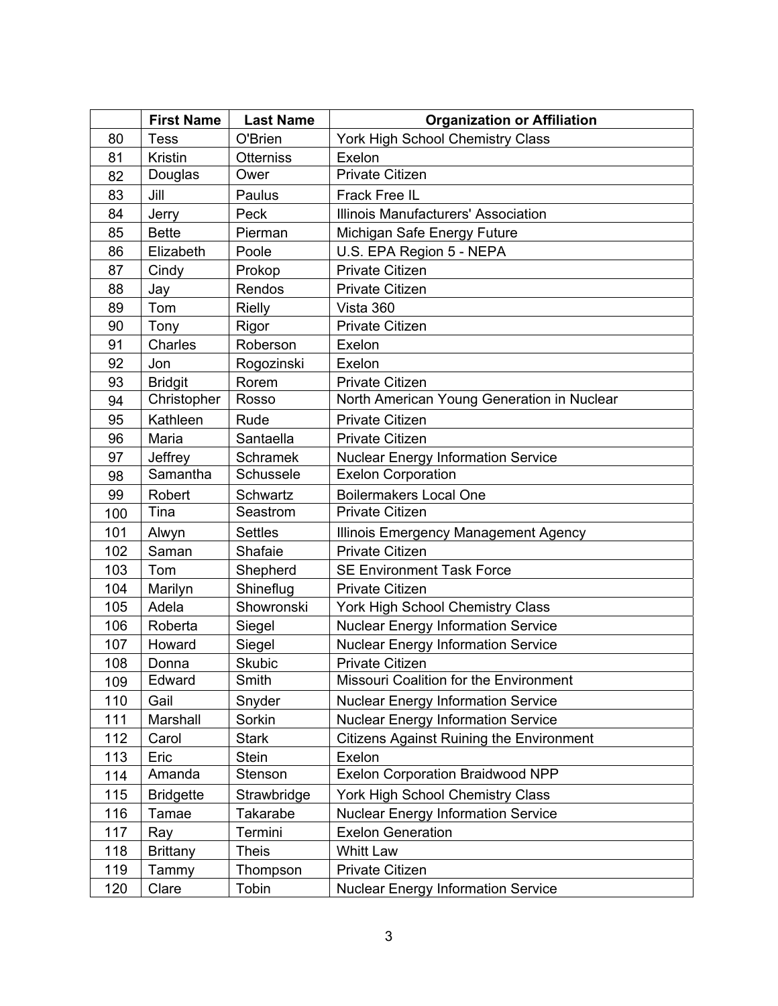|     | <b>First Name</b> | <b>Last Name</b> | <b>Organization or Affiliation</b>              |
|-----|-------------------|------------------|-------------------------------------------------|
| 80  | <b>Tess</b>       | O'Brien          | York High School Chemistry Class                |
| 81  | Kristin           | <b>Otterniss</b> | Exelon                                          |
| 82  | Douglas           | Ower             | <b>Private Citizen</b>                          |
| 83  | Jill              | Paulus           | Frack Free IL                                   |
| 84  | Jerry             | Peck             | Illinois Manufacturers' Association             |
| 85  | <b>Bette</b>      | Pierman          | Michigan Safe Energy Future                     |
| 86  | Elizabeth         | Poole            | U.S. EPA Region 5 - NEPA                        |
| 87  | Cindy             | Prokop           | <b>Private Citizen</b>                          |
| 88  | Jay               | Rendos           | <b>Private Citizen</b>                          |
| 89  | Tom               | <b>Rielly</b>    | Vista 360                                       |
| 90  | Tony              | Rigor            | <b>Private Citizen</b>                          |
| 91  | Charles           | Roberson         | Exelon                                          |
| 92  | Jon               | Rogozinski       | Exelon                                          |
| 93  | <b>Bridgit</b>    | Rorem            | <b>Private Citizen</b>                          |
| 94  | Christopher       | Rosso            | North American Young Generation in Nuclear      |
| 95  | Kathleen          | Rude             | <b>Private Citizen</b>                          |
| 96  | Maria             | Santaella        | <b>Private Citizen</b>                          |
| 97  | Jeffrey           | <b>Schramek</b>  | <b>Nuclear Energy Information Service</b>       |
| 98  | Samantha          | Schussele        | <b>Exelon Corporation</b>                       |
| 99  | Robert            | Schwartz         | <b>Boilermakers Local One</b>                   |
| 100 | Tina              | Seastrom         | <b>Private Citizen</b>                          |
| 101 | Alwyn             | <b>Settles</b>   | Illinois Emergency Management Agency            |
| 102 | Saman             | Shafaie          | <b>Private Citizen</b>                          |
| 103 | Tom               | Shepherd         | <b>SE Environment Task Force</b>                |
| 104 | Marilyn           | Shineflug        | Private Citizen                                 |
| 105 | Adela             | Showronski       | York High School Chemistry Class                |
| 106 | Roberta           | Siegel           | <b>Nuclear Energy Information Service</b>       |
| 107 | Howard            | Siegel           | <b>Nuclear Energy Information Service</b>       |
| 108 | Donna             | Skubic           | Private Citizen                                 |
| 109 | Edward            | Smith            | Missouri Coalition for the Environment          |
| 110 | Gail              | Snyder           | <b>Nuclear Energy Information Service</b>       |
| 111 | Marshall          | Sorkin           | <b>Nuclear Energy Information Service</b>       |
| 112 | Carol             | <b>Stark</b>     | <b>Citizens Against Ruining the Environment</b> |
| 113 | Eric              | <b>Stein</b>     | Exelon                                          |
| 114 | Amanda            | Stenson          | <b>Exelon Corporation Braidwood NPP</b>         |
| 115 | <b>Bridgette</b>  | Strawbridge      | York High School Chemistry Class                |
| 116 | Tamae             | Takarabe         | <b>Nuclear Energy Information Service</b>       |
| 117 | Ray               | Termini          | <b>Exelon Generation</b>                        |
| 118 | <b>Brittany</b>   | <b>Theis</b>     | Whitt Law                                       |
| 119 | Tammy             | Thompson         | Private Citizen                                 |
| 120 | Clare             | Tobin            | <b>Nuclear Energy Information Service</b>       |